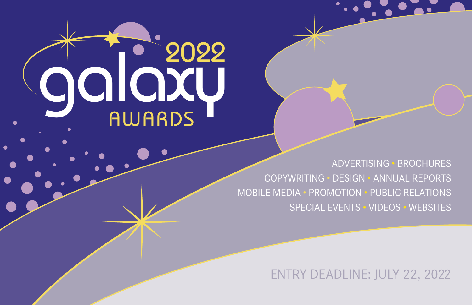

ADVERTISING • BROCHURES COPYWRITING • DESIGN • ANNUAL REPORTS MOBILE MEDIA • PROMOTION • PUBLIC RELATIONS SPECIAL EVENTS • VIDEOS • WEBSITES

ENTRY DEADLINE: JULY 22, 2022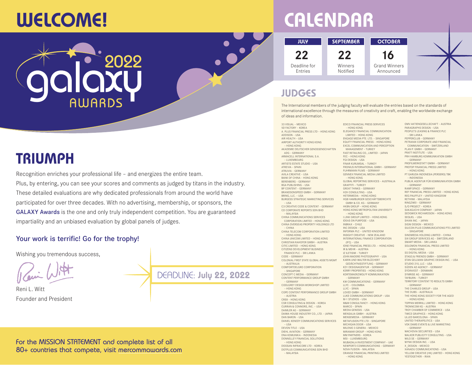## **WELCOME!**

## **CALENDAR**

**JULY SEPTEMBER OCTOBER 22** Deadline for Entries

**22** Winners Notified

#### **16** Grand Winners Announced

## **JUDGES**

33 VISUAL – MEXICO

The International members of the judging faculty will evaluate the entries based on the standards of international excellence through the measures of creativity and craft, enabling the worldwide exchange of ideas and information.

5D FACTORY – KOREA A. PLUS FINANCIAL PRESS LTD – HONG KONG ADDISON – USA AIR HEALTH – USA AIRPORT AUTHORITY HONG KONG – HONG KONG AKADEMIE DEUTSCHER GENOSSENSCHAFTEN ADG – GERMANY ARMACELL INTERNATIONAL S.A. – LUXEMBOURG ARTISTS ESTATE STUDIO – USA ATREVIA – SPAIN ATRUVIA – GERMANY AVILA CREATIVE – USA BANK OF CHINA – HONG KONG BERENBERG – GERMANY BGA PUBLISHING – USA BP CONTENT – GERMANY BRANDSONSPEED GMBH – GERMANY BRING, LLC. – USA BURGESS STRATEGIC MARKETING SERVICES – USA C3 CREATIVE CODE & CONTENT – GERMANY CD CORPORATE REPORTS SDN BHD – MALAYSIA CHINA COMMUNICATIONS SERVICES CORPORATION LIMITED – HONG KONG CHINA OVERSEAS PROPERTY HOLDINGS LTD – CHINA CHINA TELECOM CORPORATION LIMITED – HONG KONG CHINA UNICOM LIMITED – HONG KONG CHRISTIAN RAHOFER GMBH – AUSTRIA CITIC LIMITED – HONG KONG CITIZENS DEVELOPMENT BUSINESS FINANCE PLC – SRI LANKA CODE – GERMANY COLONIAL FIRST STATE GLOBAL ASSETS MGMT – AUSTRALIA COMFORTDELGRO CORPORATION – SINGAPORE CONCEPT C MEDIA – GERMANY CONTENT PERFORMANCE GROUP GMBH – GERMANY COOLGREY DESIGN WORKSHOP LIMITED – HONG KONG COPE CONTENT PERFORMANCE GROUP GMBH – AUSTRIA CRE8 – HONG KONG CSR CONSULTING & DESIGN – KOREA CURRAN & CONNORS, INC. – USA DAIMLER AG – GERMANY DAIWA HOUSE INDUSTRY CO., LTD. – JAPAN DAN BARON – USA DANIEL KENEDY COMMUNICATIONS SERVICES – USA DEVON TITLE – USA DIEHL AVIATION – GERMANY DNA KOMUNIKA – INDONESIA DONNELLEY FINANCIAL SOLUTIONS – HONG KONG DOOSAN INFRACORE LTD – KOREA DOTPLUS COMMUNICATIONS SDN BHD – MALAYSIA

EDICO FINANCIAL PRESS SERVICES – HONG KONG ELEGANCE FINANCIAL COMMUNICATION LIMITED – HONG KONG ENGAGE MEDIA PTE. LTD. – SINGAPORE EQUITY FINANCIAL PRESS – HONG KONG EXCEL COMMUNICATION AND PERCEPTION MANAGEMENT – TURKEY FAST RETAILING CO., LIMITED – JAPAN FEC – HONG KONG FGI DESIGN – USA FINAR KURUMSAL – TURKEY FRONIUS INTERNATIONAL GMBH – GERMANY FUHRMANN FILMS – GERMANY GENNEX FINANCIAL MEDIA LIMITED – HONG KONG GLOBAL REPORTING SERVICES – AUSTRALIA GRAFFITI – TURKEY GREAT THINKS – GERMANY H2H CONSULTING – USA HETERMEDIA – HONG KONG HGB HAMBURGER GESCHÄFTSBERICHTE GMBH & CO. KG – GERMANY HKBN GROUP – HONG KONG HONG KONG METROPOLITAN UNIVERSITY – HONG KONG I.LINK GROUP LIMITED – HONG KONG IDEAS ON PURPOSE – USA INBRAX – CHILE INC DESIGN – USA INFORMA PLC – UNITED KINGDOM INSIGHT CREATIVE – NEW ZEALAND INTERNATIONAL FINANCE CORPORATION (IFC) – USA IONE FINANCIAL PRESS LTD. – HONG KONG IR & MEHR – AUSTRIA IZ ILETISIM – TURKEY JOHN MADERE PHOTOGRAPHY – USA KARIN UND WALTER BLÜCHERT GEDÄCHTNISSTIFTUNG – GERMANY KD1 DESIGNAGENTUR – GERMANY KERRY PROPERTIES – HONG KONG KORTEMAERZWOLFF KOMMUNIKATION – GERMANY KW COMMUNICATIONS – GERMANY LLYC – COLOMBIA LLYC – SPAIN LOVED GMBH – GERMANY LUKE COMMUNICATIONS GROUP – USA M-1 STUDIOS – USA M&M CONSULTANCY – HONG KONG MARCO – SPAIN MEDIA GENESIS – USA MENSALIA GMBH – AUSTRIA MENSEMEDIA – GERMANY METAFUSION PTE LTD – SINGAPORE MICHIGAN DOOR – USA MILENIO 3 GENERA – MEXICO MIRAMAR GROUP – HONG KONG MM PARTNERS – KOREA MSI – LUXEMBOURG MUBADALA INVESTMENT COMPANY – UAE NEWPORT3 COMMUNICATIONS – GERMANY NOVA FUSION – MALAYSIA ORANGE FINANCIAL PRINTING LIMITED – HONG KONG

OMV AKTIENGESELLSCHAFT – AUSTRIA PARAGRAPHS DESIGN – USA PEOPLE'S LEASING & FINANCE PLC – SRI LANKA PEPPERCLUB – GERMANY PETRANIX CORPORATE AND FINANCIAL COMMUNICATION – SWITZERLAND PLAN P. GMBH – GERMANY PRATT INSTITUTE – USA PRH HAMBURG KOMMUNIKATION GMBH – GERMANY PROFILWERKSTATT GMBH – GERMANY PROTOP FINANCIAL PRESS LIMITED – HONG KONG PT GARUDA INDONESIA (PERSERO) TBK – INDONESIA PUBLIK.AGENTUR FÜR KOMMUNIKATION GMBH – GERMANY RAMP.SPACE – GERMANY REF FINANCIAL PRESS LIMITED – HONG KONG REG PAUFFLEY – UNITED KINGDOM RETHINK – MALAYSIA RINGZWEI – GERMANY S/O PROJECT – KOREA SAKAGUCHI COMPANY – JAPAN SEDGWICK RICHARDSON – HONG KONG SEQUEL – USA SHIAN INC. – JAPAN SIGNI DESIGN – MEXICO SILICON PLUS COMMUNICATIONS PTE LIMITED – SINGAPORE SINOMEDIA HOLDING LIMITED – CHINA SIX GROUP SERVICES AG – SWITZERLAND SMART MEDIA – SRI LANKA SOLOMON FINANCIAL PRESS LIMITED – HONG KONG SS DIGITAL MEDIA – USA STAGG & FRIENDS GMBH – GERMANY STAN GELLMAN GRAPHIC DESIGN INC. – USA STUDIO 210, LLC – USA SÜDEN AD AGENCY – GERMANY SYDINVEST – DENMARK SYMRISE AG – GERMANY TAYBURN – TURKEY TERRITORY CONTENT TO RESULTS GMBH – GERMANY THE CHARLES GROUP – USA THE DUBS – AUSTRALIA THE HONG KONG SOCIETY FOR THE AGED – HONG KONG TOPPAN MERRILL LIMITED – HONG KONG TRONNCOM KG – AUSTRIA TROY CHAMBER OF COMMERCE – USA TWICE GRAPHICS – HONG KONG ULLED BARCELONA – SPAIN UNITED THERAPEUTICS – USA VOK DAMS EVENTS & LIVE MARKETING – GERMANY WACHOVIA SECURITIES – USA WALKER PUBLICITY CONSULTING - USA WILO SE – GERMANY WYNK DESIGN INC. - USA X\_DESIGN – MEXICO XANADU COMMUNICATIONS – USA YELLOW CREATIVE (HK) LIMITED – HONG KONG YESTOGETHER – IRAN

## **TRIUMPH**

Recognition enriches your professional life – and energizes the entire team. Plus, by entering, you can see your scores and comments as judged by titans in the industry. These detailed evaluations are why dedicated professionals from around the world have participated for over three decades. With no advertising, membership, or sponsors, the GALAXY Awards is the one and only truly independent competition. You are guaranteed impartiality and an unbiased evaluation by global panels of judges.

#### Your work is terrific! Go for the trophy!

Wishing you tremendous success,

Reni L. Witt Founder and President

DEADLINE: **July 22, 2022**

For the MISSION STATEMENT and complete list of all 80+ countries that compete, visit [mercommawards.com](https://www.mercommawards.com/)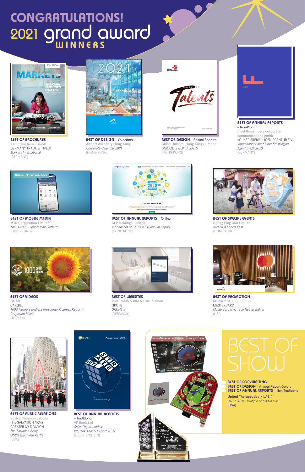#### **BEST OF PUBLIC RELATIONS**

Rosica Communications THE SALVATION ARMY GREATER NY DIVISION *The Salvation Army GNY's Giant Red Kettle* (USA)



**BEST OF PROMOTION** Studio 210, LLC MASTERCARD *Mastercard NYC Tech Hub Branding* (USA)



#### **BEST OF ANNUAL REPORTS**  – Traditional VP Bank Ltd *Seize Opportunities - VP Bank Annual Report 2020* (LIECHTENSTEIN)









**BEST OF WEBSITES** VOK DAMS & IBM & D'art & more GROHE *GROHE X* (GERMANY)



#### **BEST OF COPYWRITING BEST OF DESIGN** – Annual Report Covers **BEST OF ANNUAL REPORTS** – Non-Traditional

United Therapeutics / LAB 4 *UTHR 2020 - Multiple Shots On Goal* (USA)

**BEST OF VIDEOS** FINAR CARGILL *1000 Farmers Endless Prosperity Progress Report – Corporate Movie* (TURKEY)



# **CONGRATULATIONS!** <sup>2021</sup> grand award **WINNERS**

**BEST OF SPECIAL EVENTS** Ngong Ping 360 Limited *360 FILA Sports Fest* (HONG KONG)



**BEST OF MOBILE MEDIA** MTR Corporation Limited *The LOHAS – Smart Mall Platform* (HONG KONG)



**BEST OF DESIGN** – Calendars Airport Authority Hong Kong *Corporate Calendar 2021* (HONG KONG)



**BEST OF DESIGN** – Annual Reports China Unicom (Hong Kong) Limited *UNICOM'S GOT TALENTS* (HONG KONG)



**BEST OF BROCHURES** Kammann Rossi GmbH GERMANY TRADE & INVEST *Markets International* (GERMANY)



**BEST OF ANNUAL REPORTS** – Online CLP Holdings Limited *A Snapshot of CLP's 2020 Annual Report* (HONG KONG)





**BEST OF ANNUAL REPORTS**  – Non-Profit muehlhausmoers corporate communications gmbh KÖLNER FREIWILLIGEN AGENTUR E.V. *Jahresbericht der Kölner Freiwilligen Agentur e.V. 2020* (GERMANY)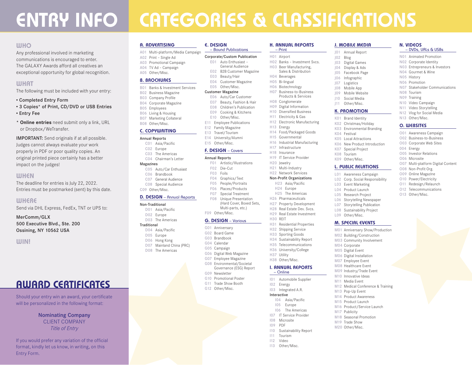### **ENTRY INFO CATEGORIES & CLASSIFICATIONS**

**E. DESIGN** 

– Bound Publications Corporate/Custom Publication E01 Auto Enthusiast – General Audience E02 B2B Customer Magazine E03 Beauty/Hair E04 Customer Magazine E05 Other/Misc. Customer Magazine E06 Auto/Car Customer E07 Beauty, Fashion & Hair E08 Children's Publication E09 Cooking & Kitchens E10 Other/Misc. E11 Employee Publications E12 Family Magazine E13 Travel/Tourism E14 University/Alumni E15 Other/Misc. **F. DESIGN** – Covers Annual Reports

#### **WHO**

Any professional involved in marketing communications is encouraged to enter. The GALAXY Awards afford all creatives an exceptional opportunity for global recognition.

#### **WHAT**

The following must be included with your entry:

- Completed Entry Form
- 3 Copies\* of Print, CD/DVD or USB Entries
- Entry Fee
- **\* Online entries** need submit only a link, URL or Dropbox/WeTransfer.

IMPORTANT: Send originals if at all possible. Judges cannot always evaluate your work properly in PDF or poor quality copies. An original printed piece certainly has a better impact on the judges!

#### **WHEN**

The deadline for entries is July 22, 2022. Entries must be postmarked (sent) by this date.

#### **WHERE**

Send via DHL Express, FedEx, TNT or UPS to:

MerComm/GLX 500 Executive Blvd., Ste. 200 Ossining, NY 10562 USA

#### **WIN!**

### **AWARD CERTIFICATES**

Should your entry win an award, your certificate will be personalized in the following format:

#### Nominating Company CLIENT COMPANY *Title of Entry*

If you would prefer any variation of the official format, kindly let us know, in writing, on this Entry Form.

#### **A. ADVERTISING**

A01 Multi-platform/Media Campaign A02 Print – Single Ad A03 Promotional Campaign A04 TV Ad – Campaign A05 Other/Misc. **B. BROCHURES**

#### B01 Banks & Investment Services

B02 Business Magazine B03 Company Profile

- B04 Corporate Magazine B05 Employees
- B06 Living & Housing
- B07 Marketing Collateral B08 Other/Misc.

- **C. COPYWRITING**
- Annual Reports C01 Asia/Pacific
- C02 Europe
- C03 The Americas

#### C04 Chairman's Letter

- Magazines
- C05 Auto/Car Enthusiast C06 Brandbook
- C07 General Audience
- C08 Special Audience

#### C09 Other/Misc.

#### **D. DESIGN** – Annual Reports

#### Non-Traditional D01 Asia/Pacific

D02 Europe D03 The Americas

#### **Traditional** D04 Asia/Pacific

- D05 Europe
	- D06 Hong Kong
	- D07 Mainland China (PRC) D08 The Americas
- G04 Calendar G05 Campaign G06 Digital Web Magazine

F09 Other/Misc. **G. DESIGN** – Various G01 Anniversary G02 Board Game G03 Brandbook

- G07 Employee Magazine
- G08 Environmental/Societal Governance (ESG) Report

F01 Artistic/Illustrations F02 Die-Cut F03 Foils F04 Graphics/Text F05 People/Portraits F06 Places/Products F07 Special Treatment F08 Unique Presentation (Hard Cover, Boxed Sets, Multi-parts, etc.)

- G09 Newsletter
- G10 Promotional Poster
- G11 Trade Show Booth
- G12 Other/Misc.

#### **H. ANNUAL REPORTS**  – Print

- H01 Airport H02 Banks – Investment Svcs.
- H03 Beer Manufacturing, Sales & Distribution
- H04 Beverages H05 Bi-lingual
- H06 Biotechnology
- H07 Business-to-Business
- Products & Services H08 Conglomerate
- H09 Digital Information
- H10 Diversified Business
- H11 Electricity & Gas
- H12 Electronic Manufacturing H13 Energy
- 
- H14 Food/Packaged Goods H15 Governmental
- H16 Industrial Manufacturing
- H17 Infrastructure
- H18 Insurance
- H19 IT Service Provider
- H20 Jewelry
- H21 Multi-Industry

#### H22 Network Services Non-Profit Organizations

- H23 Asia/Pacific
- H24 Europe H25 The Americas
- H26 Pharmaceuticals
- H27 Property Development
- H28 Real Estate Dev. Svcs. H29 Real Estate Investment
- H30 REIT
- H31 Residential Properties
- H32 Shipping Service
- H33 Sporting Goods H34 Sustainability Report
- H35 Telecommunications
- H36 University/College
- H37 Utility
- H38 Other/Misc.

#### **I. ANNUAL REPORTS**  – Online

- 
- I01 Automobile Supplier I02 Energy
- I03 Integrated A.R.

#### Interactive

- I04 Asia/Pacific I05 Europe
- The Americas
- I07 IT Service Provider
- I08 Microsite
- I09 PDF
- I10 Sustainability Report
- I11 Tourism I12 Video
- I13 Other/Misc.

#### **J. MOBILE MEDIA** J01 Annual Report

**N. VIDEOS** 

N08 Tourism N09 Training N10 Video Campaign N11 Video Storytelling N12 Vlog for Social Media N13 Other/Misc. **O. WEBSITES** O01 Awareness Campaign O02 Business-to-Business O03 Corporate Web Sites

004 Energy O05 Investor Relations O06 Microsite

O08 Non-Profit Org. O09 Online Magazine O10 Power/Electricity O11 Redesign/Relaunch O12 Telecommunications O13 Other/Misc.

– DVDs, URLs & USBs N01 Animated Promotion N02 Corporate Identity N03 Entrepreneurs & Investors N04 Gourmet & Wine N05 History N06 Promotion

N07 Stakeholder Communications

O07 Multi-platform Digital Content

J02 Blog J03 Digital Games J04 Display & Ads J05 Facebook Page J06 Infographic J07 Logistics J08 Mobile App J09 Mobile Website J10 Social Media J11 Other/Misc.

**K. PROMOTION** K01 Brand Identity K02 Christmas/Holiday K03 Environmental Branding

K04 Festival K05 Local Attractions K06 New Product Introduction K07 Special Project K08 Tourism K09 Other/Misc. **L. PUBLIC RELATIONS** L01 Awareness Campaign L02 Corp. Social Responsibility L03 Event Marketing L04 Product Launch L05 Research Project L06 Storytelling Newspaper L07 Storytelling Publication L08 Sustainability Project L09 Other/Misc. **M. SPECIAL EVENTS** M01 Anniversary Show/Production M02 Building/Construction M03 Community Involvement

M04 Corporate M05 Digital Event M06 Digital Installation M07 Employee Event M08 Healthcare Event M09 Industry/Trade Event M10 Innovative Ideas M11 Media Event

M13 Pop-Up Event M14 Product Awareness M15 Product Launch M16 Product/Service Launch

M17 Publicity M18 Seasonal Promotion M19 Trade Show M20 Other/Misc.

M12 Medical Conference & Training